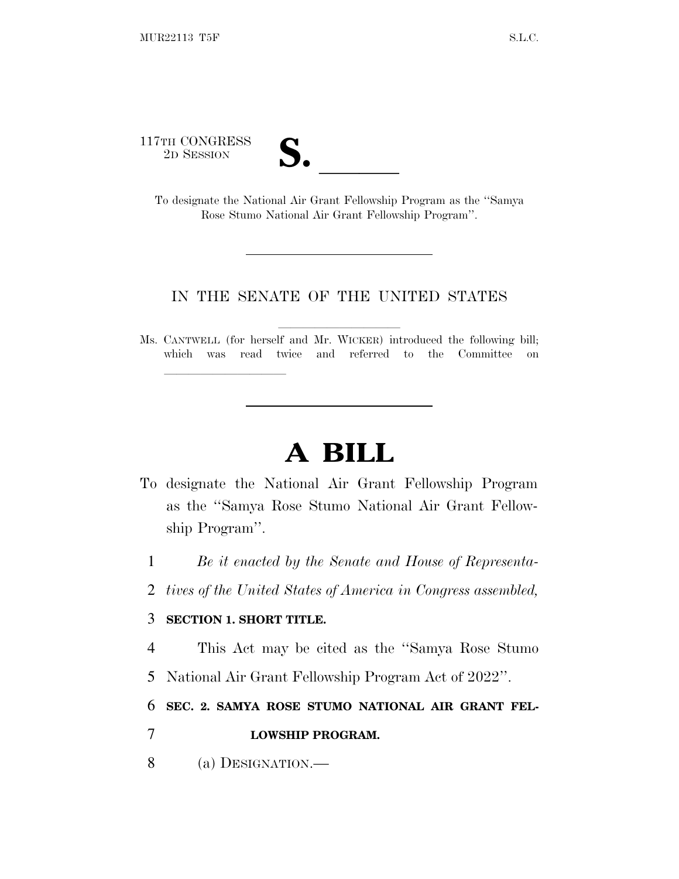117TH CONGRESS

| V.<br>$\overline{\phantom{a}}$ |  |
|--------------------------------|--|

TH CONGRESS<br>
2D SESSION<br>
To designate the National Air Grant Fellowship Program as the "Samya" Rose Stumo National Air Grant Fellowship Program''.

## IN THE SENATE OF THE UNITED STATES

Ms. CANTWELL (for herself and Mr. WICKER) introduced the following bill; which was read twice and referred to the Committee on

## **A BILL**

- To designate the National Air Grant Fellowship Program as the ''Samya Rose Stumo National Air Grant Fellowship Program''.
	- 1 *Be it enacted by the Senate and House of Representa-*
	- 2 *tives of the United States of America in Congress assembled,*

## 3 **SECTION 1. SHORT TITLE.**

lla se al consegue de la consegue de la consegue de la consegue de la consegue de la consegue de la consegue d<br>La consegue de la consegue de la consegue de la consegue de la consegue de la consegue de la consegue de la co

- 4 This Act may be cited as the ''Samya Rose Stumo
- 5 National Air Grant Fellowship Program Act of 2022''.

6 **SEC. 2. SAMYA ROSE STUMO NATIONAL AIR GRANT FEL-**

- 7 **LOWSHIP PROGRAM.**
- 8 (a) DESIGNATION.—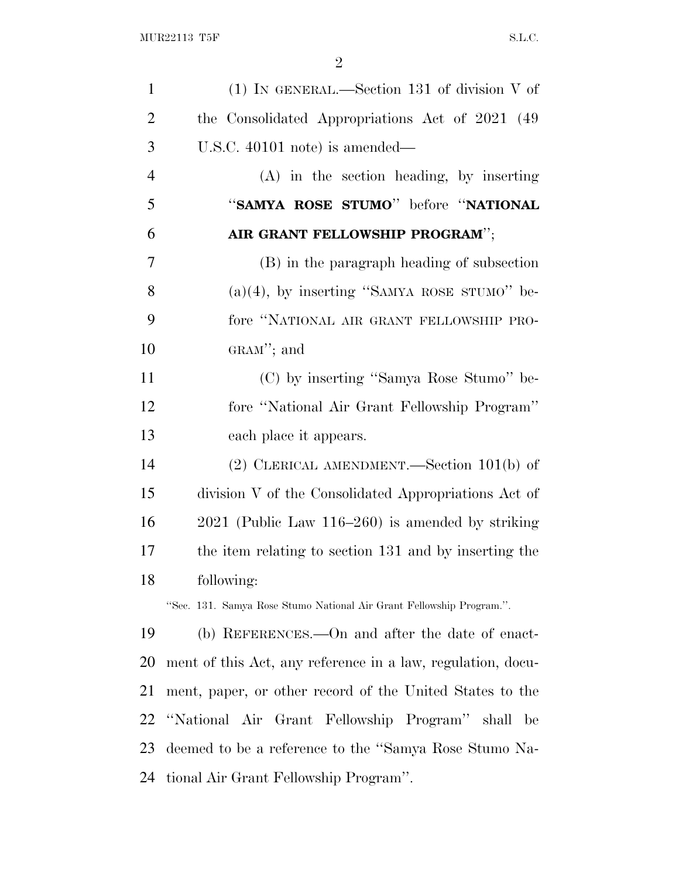| $\mathbf{1}$   | $(1)$ In GENERAL.—Section 131 of division V of                       |
|----------------|----------------------------------------------------------------------|
| $\overline{2}$ | the Consolidated Appropriations Act of 2021 (49)                     |
| 3              | U.S.C. 40101 note) is amended—                                       |
| $\overline{4}$ | $(A)$ in the section heading, by inserting                           |
| 5              | "SAMYA ROSE STUMO" before "NATIONAL                                  |
| 6              | AIR GRANT FELLOWSHIP PROGRAM";                                       |
| $\tau$         | (B) in the paragraph heading of subsection                           |
| 8              | $(a)(4)$ , by inserting "SAMYA ROSE STUMO" be-                       |
| 9              | fore "NATIONAL AIR GRANT FELLOWSHIP PRO-                             |
| 10             | GRAM"; and                                                           |
| 11             | (C) by inserting "Samya Rose Stumo" be-                              |
| 12             | fore "National Air Grant Fellowship Program"                         |
| 13             | each place it appears.                                               |
| 14             | (2) CLERICAL AMENDMENT.—Section $101(b)$ of                          |
| 15             | division V of the Consolidated Appropriations Act of                 |
| 16             | $2021$ (Public Law 116–260) is amended by striking                   |
| 17             | the item relating to section 131 and by inserting the                |
| 18             | following:                                                           |
|                | "Sec. 131. Samya Rose Stumo National Air Grant Fellowship Program.". |
| 19             | (b) REFERENCES.—On and after the date of enact-                      |
| 20             | ment of this Act, any reference in a law, regulation, docu-          |
| 21             | ment, paper, or other record of the United States to the             |
| 22             | "National Air Grant Fellowship Program" shall be                     |
| 23             | deemed to be a reference to the "Samya Rose Stumo Na-                |
| 24             | tional Air Grant Fellowship Program".                                |
|                |                                                                      |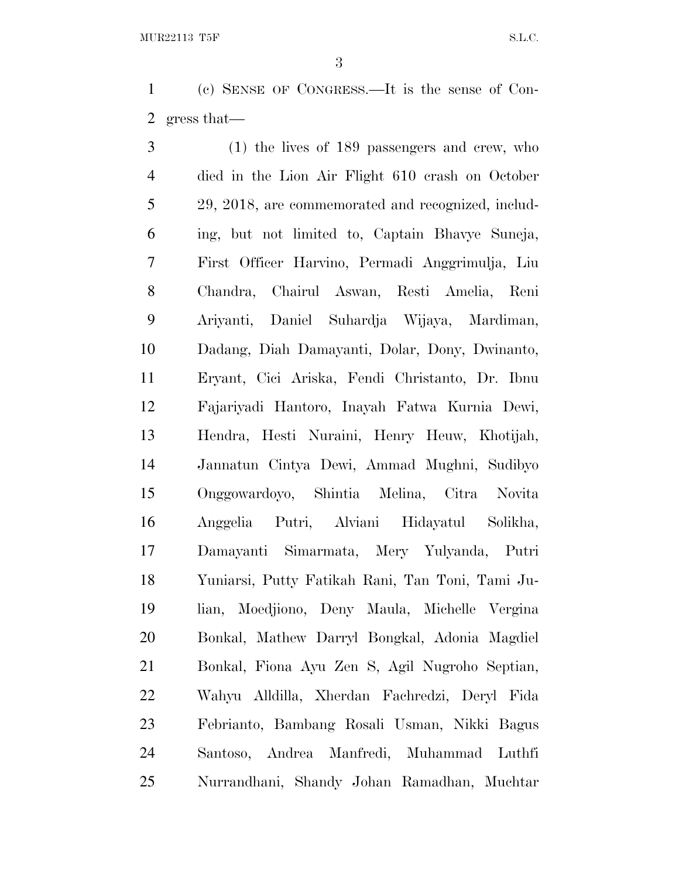(c) SENSE OF CONGRESS.—It is the sense of Con-gress that—

 (1) the lives of 189 passengers and crew, who died in the Lion Air Flight 610 crash on October 29, 2018, are commemorated and recognized, includ- ing, but not limited to, Captain Bhavye Suneja, First Officer Harvino, Permadi Anggrimulja, Liu Chandra, Chairul Aswan, Resti Amelia, Reni Ariyanti, Daniel Suhardja Wijaya, Mardiman, Dadang, Diah Damayanti, Dolar, Dony, Dwinanto, Eryant, Cici Ariska, Fendi Christanto, Dr. Ibnu Fajariyadi Hantoro, Inayah Fatwa Kurnia Dewi, Hendra, Hesti Nuraini, Henry Heuw, Khotijah, Jannatun Cintya Dewi, Ammad Mughni, Sudibyo Onggowardoyo, Shintia Melina, Citra Novita Anggelia Putri, Alviani Hidayatul Solikha, Damayanti Simarmata, Mery Yulyanda, Putri Yuniarsi, Putty Fatikah Rani, Tan Toni, Tami Ju- lian, Moedjiono, Deny Maula, Michelle Vergina Bonkal, Mathew Darryl Bongkal, Adonia Magdiel Bonkal, Fiona Ayu Zen S, Agil Nugroho Septian, Wahyu Alldilla, Xherdan Fachredzi, Deryl Fida Febrianto, Bambang Rosali Usman, Nikki Bagus Santoso, Andrea Manfredi, Muhammad Luthfi Nurrandhani, Shandy Johan Ramadhan, Muchtar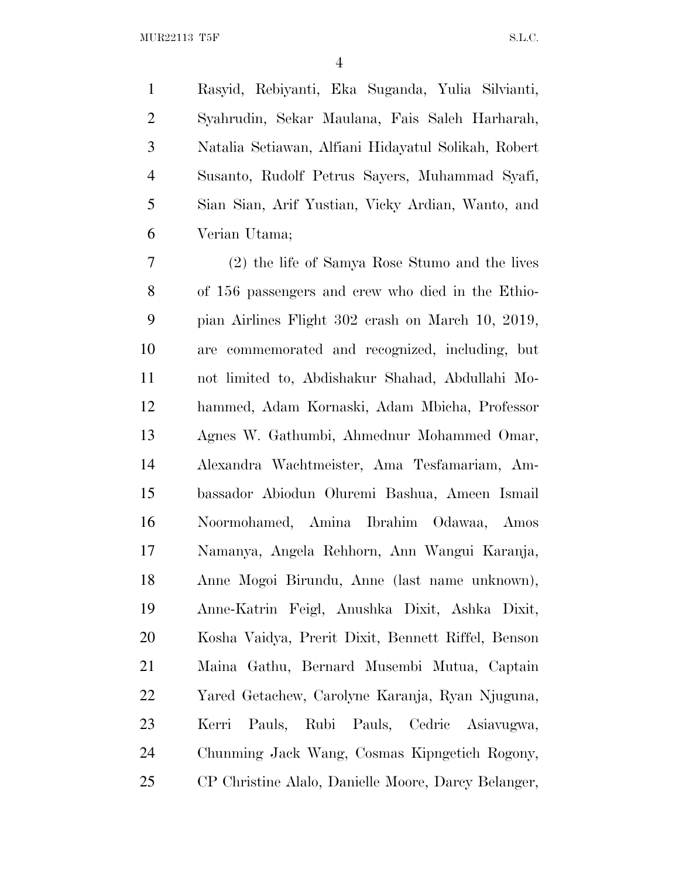Rasyid, Rebiyanti, Eka Suganda, Yulia Silvianti, Syahrudin, Sekar Maulana, Fais Saleh Harharah, Natalia Setiawan, Alfiani Hidayatul Solikah, Robert Susanto, Rudolf Petrus Sayers, Muhammad Syafi, Sian Sian, Arif Yustian, Vicky Ardian, Wanto, and Verian Utama;

 (2) the life of Samya Rose Stumo and the lives of 156 passengers and crew who died in the Ethio- pian Airlines Flight 302 crash on March 10, 2019, are commemorated and recognized, including, but not limited to, Abdishakur Shahad, Abdullahi Mo- hammed, Adam Kornaski, Adam Mbicha, Professor Agnes W. Gathumbi, Ahmednur Mohammed Omar, Alexandra Wachtmeister, Ama Tesfamariam, Am- bassador Abiodun Oluremi Bashua, Ameen Ismail Noormohamed, Amina Ibrahim Odawaa, Amos Namanya, Angela Rehhorn, Ann Wangui Karanja, Anne Mogoi Birundu, Anne (last name unknown), Anne-Katrin Feigl, Anushka Dixit, Ashka Dixit, Kosha Vaidya, Prerit Dixit, Bennett Riffel, Benson Maina Gathu, Bernard Musembi Mutua, Captain Yared Getachew, Carolyne Karanja, Ryan Njuguna, Kerri Pauls, Rubi Pauls, Cedric Asiavugwa, Chunming Jack Wang, Cosmas Kipngetich Rogony, CP Christine Alalo, Danielle Moore, Darcy Belanger,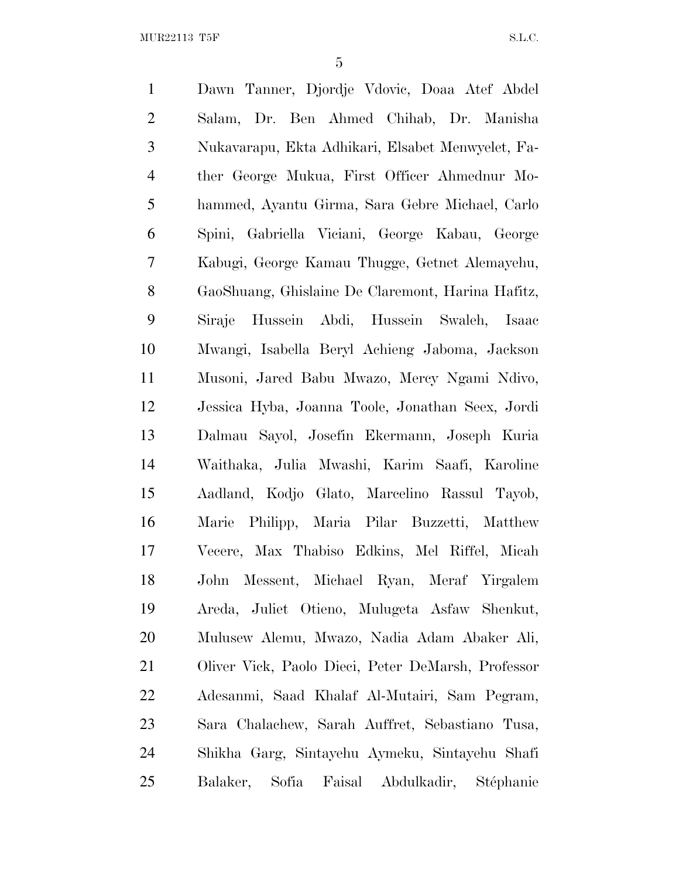MUR22113 T5F S.L.C.

 Dawn Tanner, Djordje Vdovic, Doaa Atef Abdel Salam, Dr. Ben Ahmed Chihab, Dr. Manisha Nukavarapu, Ekta Adhikari, Elsabet Menwyelet, Fa- ther George Mukua, First Officer Ahmednur Mo- hammed, Ayantu Girma, Sara Gebre Michael, Carlo Spini, Gabriella Viciani, George Kabau, George Kabugi, George Kamau Thugge, Getnet Alemayehu, GaoShuang, Ghislaine De Claremont, Harina Hafitz, Siraje Hussein Abdi, Hussein Swaleh, Isaac Mwangi, Isabella Beryl Achieng Jaboma, Jackson Musoni, Jared Babu Mwazo, Mercy Ngami Ndivo, Jessica Hyba, Joanna Toole, Jonathan Seex, Jordi Dalmau Sayol, Josefin Ekermann, Joseph Kuria Waithaka, Julia Mwashi, Karim Saafi, Karoline Aadland, Kodjo Glato, Marcelino Rassul Tayob, Marie Philipp, Maria Pilar Buzzetti, Matthew Vecere, Max Thabiso Edkins, Mel Riffel, Micah John Messent, Michael Ryan, Meraf Yirgalem Areda, Juliet Otieno, Mulugeta Asfaw Shenkut, Mulusew Alemu, Mwazo, Nadia Adam Abaker Ali, Oliver Vick, Paolo Dieci, Peter DeMarsh, Professor Adesanmi, Saad Khalaf Al-Mutairi, Sam Pegram, Sara Chalachew, Sarah Auffret, Sebastiano Tusa, Shikha Garg, Sintayehu Aymeku, Sintayehu Shafi 25 Balaker, Sofia Faisal Abdulkadir, Stéphanie